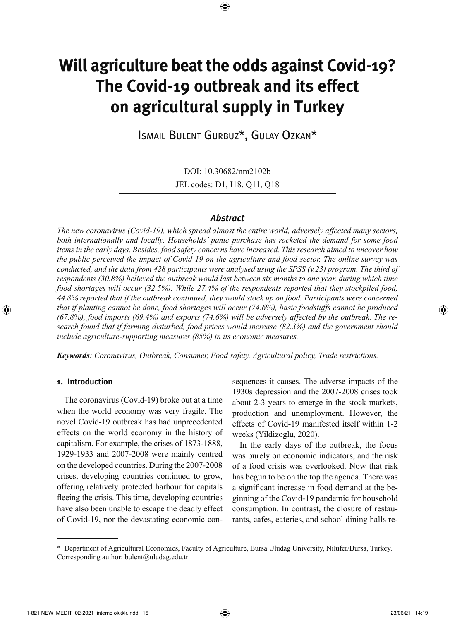# **Will agriculture beat the odds against Covid-19? The Covid-19 outbreak and its effect on agricultural supply in Turkey**

⊕

Ismail Bulent Gurbuz\*, Gulay Ozkan\*

DOI: 10.30682/nm2102b JEL codes: D1, I18, Q11, Q18

## *Abstract*

*The new coronavirus (Covid-19), which spread almost the entire world, adversely affected many sectors, both internationally and locally. Households' panic purchase has rocketed the demand for some food items in the early days. Besides, food safety concerns have increased. This research aimed to uncover how the public perceived the impact of Covid-19 on the agriculture and food sector. The online survey was conducted, and the data from 428 participants were analysed using the SPSS (v.23) program. The third of respondents (30.8%) believed the outbreak would last between six months to one year, during which time food shortages will occur (32.5%). While 27.4% of the respondents reported that they stockpiled food, 44.8% reported that if the outbreak continued, they would stock up on food. Participants were concerned that if planting cannot be done, food shortages will occur (74.6%), basic foodstuffs cannot be produced (67.8%), food imports (69.4%) and exports (74.6%) will be adversely affected by the outbreak. The research found that if farming disturbed, food prices would increase (82.3%) and the government should include agriculture-supporting measures (85%) in its economic measures.*

*Keywords: Coronavirus, Outbreak, Consumer, Food safety, Agricultural policy, Trade restrictions.*

### **1. Introduction**

◈

The coronavirus (Covid-19) broke out at a time when the world economy was very fragile. The novel Covid-19 outbreak has had unprecedented effects on the world economy in the history of capitalism. For example, the crises of 1873-1888, 1929-1933 and 2007-2008 were mainly centred on the developed countries. During the 2007-2008 crises, developing countries continued to grow, offering relatively protected harbour for capitals fleeing the crisis. This time, developing countries have also been unable to escape the deadly effect of Covid-19, nor the devastating economic consequences it causes. The adverse impacts of the 1930s depression and the 2007-2008 crises took about 2-3 years to emerge in the stock markets, production and unemployment. However, the effects of Covid-19 manifested itself within 1-2 weeks (Yildizoglu, 2020).

In the early days of the outbreak, the focus was purely on economic indicators, and the risk of a food crisis was overlooked. Now that risk has begun to be on the top the agenda. There was a significant increase in food demand at the beginning of the Covid-19 pandemic for household consumption. In contrast, the closure of restaurants, cafes, eateries, and school dining halls re-

<sup>\*</sup> Department of Agricultural Economics, Faculty of Agriculture, Bursa Uludag University, Nilufer/Bursa, Turkey. Corresponding author: bulent@uludag.edu.tr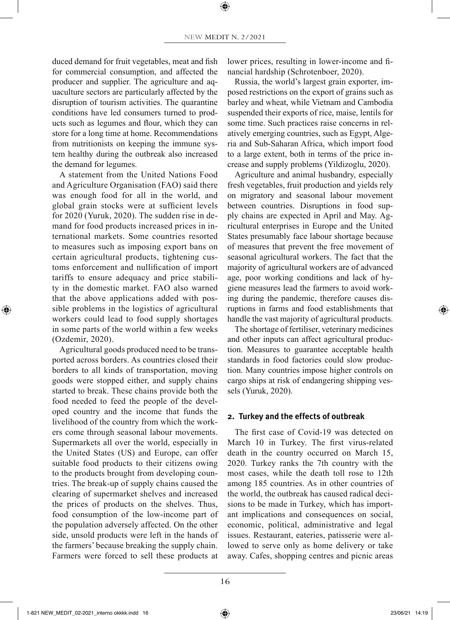duced demand for fruit vegetables, meat and fish for commercial consumption, and affected the producer and supplier. The agriculture and aquaculture sectors are particularly affected by the disruption of tourism activities. The quarantine conditions have led consumers turned to products such as legumes and flour, which they can store for a long time at home. Recommendations from nutritionists on keeping the immune system healthy during the outbreak also increased the demand for legumes.

A statement from the United Nations Food and Agriculture Organisation (FAO) said there was enough food for all in the world, and global grain stocks were at sufficient levels for 2020 (Yuruk, 2020). The sudden rise in demand for food products increased prices in international markets. Some countries resorted to measures such as imposing export bans on certain agricultural products, tightening customs enforcement and nullification of import tariffs to ensure adequacy and price stability in the domestic market. FAO also warned that the above applications added with possible problems in the logistics of agricultural workers could lead to food supply shortages in some parts of the world within a few weeks (Ozdemir, 2020).

◈

Agricultural goods produced need to be transported across borders. As countries closed their borders to all kinds of transportation, moving goods were stopped either, and supply chains started to break. These chains provide both the food needed to feed the people of the developed country and the income that funds the livelihood of the country from which the workers come through seasonal labour movements. Supermarkets all over the world, especially in the United States (US) and Europe, can offer suitable food products to their citizens owing to the products brought from developing countries. The break-up of supply chains caused the clearing of supermarket shelves and increased the prices of products on the shelves. Thus, food consumption of the low-income part of the population adversely affected. On the other side, unsold products were left in the hands of the farmers' because breaking the supply chain. Farmers were forced to sell these products at lower prices, resulting in lower-income and financial hardship (Schrotenboer, 2020).

Russia, the world's largest grain exporter, imposed restrictions on the export of grains such as barley and wheat, while Vietnam and Cambodia suspended their exports of rice, maise, lentils for some time. Such practices raise concerns in relatively emerging countries, such as Egypt, Algeria and Sub-Saharan Africa, which import food to a large extent, both in terms of the price increase and supply problems (Yildizoglu, 2020).

Agriculture and animal husbandry, especially fresh vegetables, fruit production and yields rely on migratory and seasonal labour movement between countries. Disruptions in food supply chains are expected in April and May. Agricultural enterprises in Europe and the United States presumably face labour shortage because of measures that prevent the free movement of seasonal agricultural workers. The fact that the majority of agricultural workers are of advanced age, poor working conditions and lack of hygiene measures lead the farmers to avoid working during the pandemic, therefore causes disruptions in farms and food establishments that handle the vast majority of agricultural products.

The shortage of fertiliser, veterinary medicines and other inputs can affect agricultural production. Measures to guarantee acceptable health standards in food factories could slow production. Many countries impose higher controls on cargo ships at risk of endangering shipping vessels (Yuruk, 2020).

## **2. Turkey and the effects of outbreak**

The first case of Covid-19 was detected on March 10 in Turkey. The first virus-related death in the country occurred on March 15, 2020. Turkey ranks the 7th country with the most cases, while the death toll rose to 12th among 185 countries. As in other countries of the world, the outbreak has caused radical decisions to be made in Turkey, which has important implications and consequences on social, economic, political, administrative and legal issues. Restaurant, eateries, patisserie were allowed to serve only as home delivery or take away. Cafes, shopping centres and picnic areas

1-821 NEW\_MEDIT\_02-2021\_interno okkkk.indd 16 23/06/21 14:19

⊕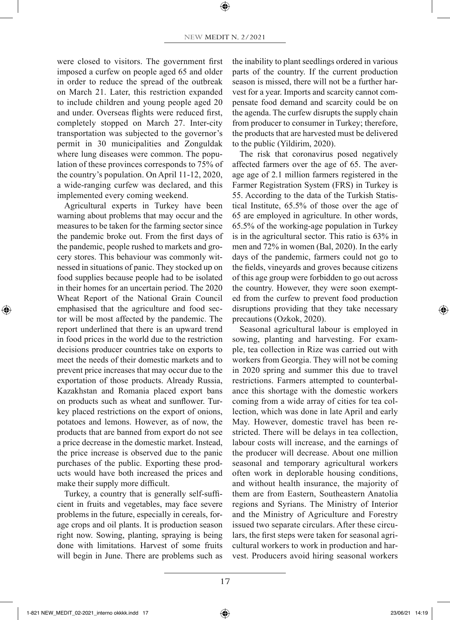were closed to visitors. The government first imposed a curfew on people aged 65 and older in order to reduce the spread of the outbreak on March 21. Later, this restriction expanded to include children and young people aged 20 and under. Overseas flights were reduced first, completely stopped on March 27. Inter-city transportation was subjected to the governor's permit in 30 municipalities and Zonguldak where lung diseases were common. The population of these provinces corresponds to 75% of the country's population. On April 11-12, 2020, a wide-ranging curfew was declared, and this implemented every coming weekend.

Agricultural experts in Turkey have been warning about problems that may occur and the measures to be taken for the farming sector since the pandemic broke out. From the first days of the pandemic, people rushed to markets and grocery stores. This behaviour was commonly witnessed in situations of panic. They stocked up on food supplies because people had to be isolated in their homes for an uncertain period. The 2020 Wheat Report of the National Grain Council emphasised that the agriculture and food sector will be most affected by the pandemic. The report underlined that there is an upward trend in food prices in the world due to the restriction decisions producer countries take on exports to meet the needs of their domestic markets and to prevent price increases that may occur due to the exportation of those products. Already Russia, Kazakhstan and Romania placed export bans on products such as wheat and sunflower. Turkey placed restrictions on the export of onions, potatoes and lemons. However, as of now, the products that are banned from export do not see a price decrease in the domestic market. Instead, the price increase is observed due to the panic purchases of the public. Exporting these products would have both increased the prices and make their supply more difficult.

◈

Turkey, a country that is generally self-sufficient in fruits and vegetables, may face severe problems in the future, especially in cereals, forage crops and oil plants. It is production season right now. Sowing, planting, spraying is being done with limitations. Harvest of some fruits will begin in June. There are problems such as the inability to plant seedlings ordered in various parts of the country. If the current production season is missed, there will not be a further harvest for a year. Imports and scarcity cannot compensate food demand and scarcity could be on the agenda. The curfew disrupts the supply chain from producer to consumer in Turkey; therefore, the products that are harvested must be delivered to the public (Yildirim, 2020).

The risk that coronavirus posed negatively affected farmers over the age of 65. The average age of 2.1 million farmers registered in the Farmer Registration System (FRS) in Turkey is 55. According to the data of the Turkish Statistical Institute, 65.5% of those over the age of 65 are employed in agriculture. In other words, 65.5% of the working-age population in Turkey is in the agricultural sector. This ratio is 63% in men and 72% in women (Bal, 2020). In the early days of the pandemic, farmers could not go to the fields, vineyards and groves because citizens of this age group were forbidden to go out across the country. However, they were soon exempted from the curfew to prevent food production disruptions providing that they take necessary precautions (Ozkok, 2020).

Seasonal agricultural labour is employed in sowing, planting and harvesting. For example, tea collection in Rize was carried out with workers from Georgia. They will not be coming in 2020 spring and summer this due to travel restrictions. Farmers attempted to counterbalance this shortage with the domestic workers coming from a wide array of cities for tea collection, which was done in late April and early May. However, domestic travel has been restricted. There will be delays in tea collection, labour costs will increase, and the earnings of the producer will decrease. About one million seasonal and temporary agricultural workers often work in deplorable housing conditions, and without health insurance, the majority of them are from Eastern, Southeastern Anatolia regions and Syrians. The Ministry of Interior and the Ministry of Agriculture and Forestry issued two separate circulars. After these circulars, the first steps were taken for seasonal agricultural workers to work in production and harvest. Producers avoid hiring seasonal workers

1-821 NEW\_MEDIT\_02-2021\_interno okkkk.indd 17 23/06/21 14:19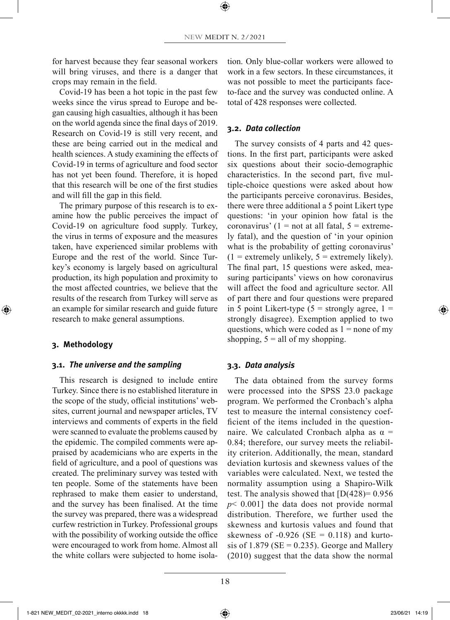for harvest because they fear seasonal workers will bring viruses, and there is a danger that crops may remain in the field.

Covid-19 has been a hot topic in the past few weeks since the virus spread to Europe and began causing high casualties, although it has been on the world agenda since the final days of 2019. Research on Covid-19 is still very recent, and these are being carried out in the medical and health sciences. A study examining the effects of Covid-19 in terms of agriculture and food sector has not yet been found. Therefore, it is hoped that this research will be one of the first studies and will fill the gap in this field.

The primary purpose of this research is to examine how the public perceives the impact of Covid-19 on agriculture food supply. Turkey, the virus in terms of exposure and the measures taken, have experienced similar problems with Europe and the rest of the world. Since Turkey's economy is largely based on agricultural production, its high population and proximity to the most affected countries, we believe that the results of the research from Turkey will serve as an example for similar research and guide future research to make general assumptions.

#### **3. Methodology**

◈

#### **3.1.** *The universe and the sampling*

This research is designed to include entire Turkey. Since there is no established literature in the scope of the study, official institutions' websites, current journal and newspaper articles, TV interviews and comments of experts in the field were scanned to evaluate the problems caused by the epidemic. The compiled comments were appraised by academicians who are experts in the field of agriculture, and a pool of questions was created. The preliminary survey was tested with ten people. Some of the statements have been rephrased to make them easier to understand, and the survey has been finalised. At the time the survey was prepared, there was a widespread curfew restriction in Turkey. Professional groups with the possibility of working outside the office were encouraged to work from home. Almost all the white collars were subjected to home isolation. Only blue-collar workers were allowed to work in a few sectors. In these circumstances, it was not possible to meet the participants faceto-face and the survey was conducted online. A total of 428 responses were collected.

## **3.2.** *Data collection*

The survey consists of 4 parts and 42 questions. In the first part, participants were asked six questions about their socio-demographic characteristics. In the second part, five multiple-choice questions were asked about how the participants perceive coronavirus. Besides, there were three additional a 5 point Likert type questions: 'in your opinion how fatal is the coronavirus' (1 = not at all fatal,  $5$  = extremely fatal), and the question of 'in your opinion what is the probability of getting coronavirus'  $(1 =$  extremely unlikely,  $5 =$  extremely likely). The final part, 15 questions were asked, measuring participants' views on how coronavirus will affect the food and agriculture sector. All of part there and four questions were prepared in 5 point Likert-type  $(5 =$  strongly agree,  $1 =$ strongly disagree). Exemption applied to two questions, which were coded as  $1 =$  none of my shopping,  $5 =$  all of my shopping.

#### **3.3.** *Data analysis*

The data obtained from the survey forms were processed into the SPSS 23.0 package program. We performed the Cronbach's alpha test to measure the internal consistency coefficient of the items included in the questionnaire. We calculated Cronbach alpha as  $\alpha$  = 0.84; therefore, our survey meets the reliability criterion. Additionally, the mean, standard deviation kurtosis and skewness values of the variables were calculated. Next, we tested the normality assumption using a Shapiro-Wilk test. The analysis showed that  $[D(428)=0.956]$ *p*< 0.001] the data does not provide normal distribution. Therefore, we further used the skewness and kurtosis values and found that skewness of  $-0.926$  (SE = 0.118) and kurtosis of 1.879 ( $SE = 0.235$ ). George and Mallery (2010) suggest that the data show the normal

1-821 NEW\_MEDIT\_02-2021\_interno okkkk.indd 18 23/06/21 14:19

⊕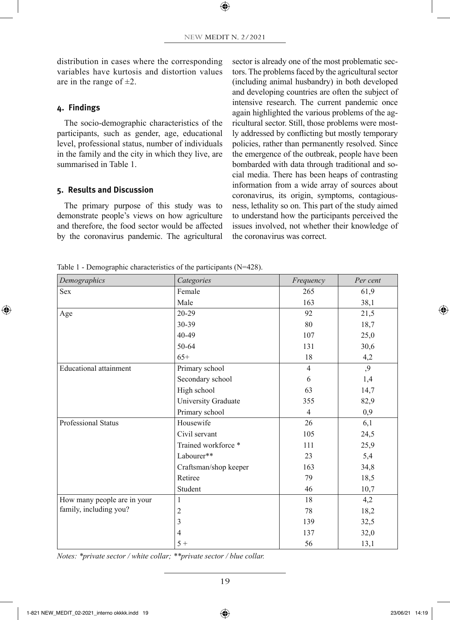distribution in cases where the corresponding variables have kurtosis and distortion values are in the range of  $\pm 2$ .

## **4. Findings**

◈

The socio-demographic characteristics of the participants, such as gender, age, educational level, professional status, number of individuals in the family and the city in which they live, are summarised in Table 1.

## **5. Results and Discussion**

The primary purpose of this study was to demonstrate people's views on how agriculture and therefore, the food sector would be affected by the coronavirus pandemic. The agricultural sector is already one of the most problematic sectors. The problems faced by the agricultural sector (including animal husbandry) in both developed and developing countries are often the subject of intensive research. The current pandemic once again highlighted the various problems of the agricultural sector. Still, those problems were mostly addressed by conflicting but mostly temporary policies, rather than permanently resolved. Since the emergence of the outbreak, people have been bombarded with data through traditional and social media. There has been heaps of contrasting information from a wide array of sources about coronavirus, its origin, symptoms, contagiousness, lethality so on. This part of the study aimed to understand how the participants perceived the issues involved, not whether their knowledge of the coronavirus was correct.

Table 1 - Demographic characteristics of the participants (N=428).

| Demographics                                          | Categories            | Frequency      | Per cent |
|-------------------------------------------------------|-----------------------|----------------|----------|
| <b>Sex</b>                                            | Female                | 265            | 61,9     |
|                                                       | Male                  | 163            | 38,1     |
| Age                                                   | $20 - 29$             | 92             | 21,5     |
|                                                       | 30-39                 | 80             | 18,7     |
|                                                       | 40-49                 | 107            | 25,0     |
|                                                       | 50-64                 | 131            | 30,6     |
|                                                       | $65+$                 | 18             | 4,2      |
| <b>Educational</b> attainment                         | Primary school        | $\overline{4}$ | ,9       |
|                                                       | Secondary school      | 6              | 1,4      |
|                                                       | High school           | 63             | 14,7     |
|                                                       | University Graduate   | 355            | 82,9     |
|                                                       | Primary school        | 4              | 0,9      |
| Professional Status                                   | Housewife             | 26             | 6,1      |
|                                                       | Civil servant         | 105            | 24,5     |
|                                                       | Trained workforce *   | 111            | 25,9     |
|                                                       | Labourer**            | 23             | 5,4      |
|                                                       | Craftsman/shop keeper | 163            | 34,8     |
|                                                       | Retiree               | 79             | 18,5     |
|                                                       | Student               | 46             | 10,7     |
| How many people are in your<br>family, including you? | 1                     | 18             | 4,2      |
|                                                       | $\overline{c}$        | 78             | 18,2     |
|                                                       | 3                     | 139            | 32,5     |
|                                                       | $\overline{4}$        | 137            | 32,0     |
|                                                       | $5+$                  | 56             | 13,1     |

*Notes: \*private sector / white collar; \*\*private sector / blue collar.*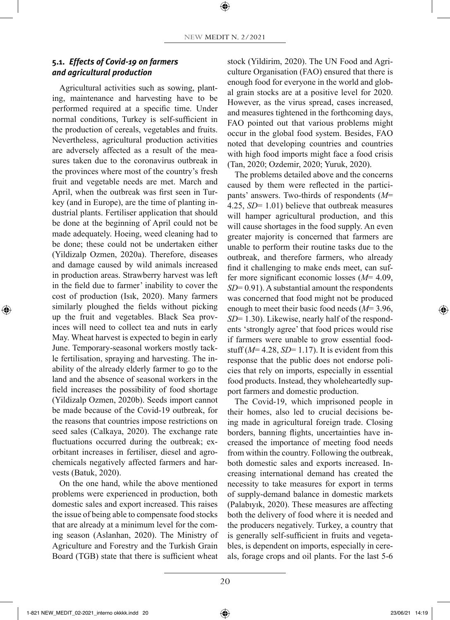# **5.1.** *Effects of Covid-19 on farmers and agricultural production*

Agricultural activities such as sowing, planting, maintenance and harvesting have to be performed required at a specific time. Under normal conditions, Turkey is self-sufficient in the production of cereals, vegetables and fruits. Nevertheless, agricultural production activities are adversely affected as a result of the measures taken due to the coronavirus outbreak in the provinces where most of the country's fresh fruit and vegetable needs are met. March and April, when the outbreak was first seen in Turkey (and in Europe), are the time of planting industrial plants. Fertiliser application that should be done at the beginning of April could not be made adequately. Hoeing, weed cleaning had to be done; these could not be undertaken either (Yildizalp Ozmen, 2020a). Therefore, diseases and damage caused by wild animals increased in production areas. Strawberry harvest was left in the field due to farmer' inability to cover the cost of production (Isık, 2020). Many farmers similarly ploughed the fields without picking up the fruit and vegetables. Black Sea provinces will need to collect tea and nuts in early May. Wheat harvest is expected to begin in early June. Temporary-seasonal workers mostly tackle fertilisation, spraying and harvesting. The inability of the already elderly farmer to go to the land and the absence of seasonal workers in the field increases the possibility of food shortage (Yildizalp Ozmen, 2020b). Seeds import cannot be made because of the Covid-19 outbreak, for the reasons that countries impose restrictions on seed sales (Calkaya, 2020). The exchange rate fluctuations occurred during the outbreak; exorbitant increases in fertiliser, diesel and agrochemicals negatively affected farmers and harvests (Batuk, 2020).

◈

On the one hand, while the above mentioned problems were experienced in production, both domestic sales and export increased. This raises the issue of being able to compensate food stocks that are already at a minimum level for the coming season (Aslanhan, 2020). The Ministry of Agriculture and Forestry and the Turkish Grain Board (TGB) state that there is sufficient wheat stock (Yildirim, 2020). The UN Food and Agriculture Organisation (FAO) ensured that there is enough food for everyone in the world and global grain stocks are at a positive level for 2020. However, as the virus spread, cases increased, and measures tightened in the forthcoming days, FAO pointed out that various problems might occur in the global food system. Besides, FAO noted that developing countries and countries with high food imports might face a food crisis (Tan, 2020; Ozdemir, 2020; Yuruk, 2020).

The problems detailed above and the concerns caused by them were reflected in the participants' answers. Two-thirds of respondents (*M*= 4.25, *SD*= 1.01) believe that outbreak measures will hamper agricultural production, and this will cause shortages in the food supply. An even greater majority is concerned that farmers are unable to perform their routine tasks due to the outbreak, and therefore farmers, who already find it challenging to make ends meet, can suffer more significant economic losses (*M*= 4.09, *SD*= 0.91). A substantial amount the respondents was concerned that food might not be produced enough to meet their basic food needs (*M*= 3.96, *SD*= 1.30). Likewise, nearly half of the respondents 'strongly agree' that food prices would rise if farmers were unable to grow essential foodstuff  $(M=4.28, SD=1.17)$ . It is evident from this response that the public does not endorse policies that rely on imports, especially in essential food products. Instead, they wholeheartedly support farmers and domestic production.

The Covid-19, which imprisoned people in their homes, also led to crucial decisions being made in agricultural foreign trade. Closing borders, banning flights, uncertainties have increased the importance of meeting food needs from within the country. Following the outbreak, both domestic sales and exports increased. Increasing international demand has created the necessity to take measures for export in terms of supply-demand balance in domestic markets (Palabıyık, 2020). These measures are affecting both the delivery of food where it is needed and the producers negatively. Turkey, a country that is generally self-sufficient in fruits and vegetables, is dependent on imports, especially in cereals, forage crops and oil plants. For the last 5-6

1-821 NEW\_MEDIT\_02-2021\_interno okkkk.indd 20 23/06/21 14:19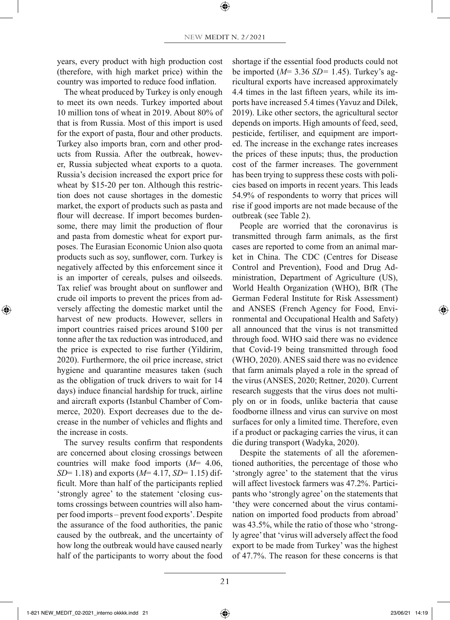years, every product with high production cost (therefore, with high market price) within the country was imported to reduce food inflation.

The wheat produced by Turkey is only enough to meet its own needs. Turkey imported about 10 million tons of wheat in 2019. About 80% of that is from Russia. Most of this import is used for the export of pasta, flour and other products. Turkey also imports bran, corn and other products from Russia. After the outbreak, however, Russia subjected wheat exports to a quota. Russia's decision increased the export price for wheat by \$15-20 per ton. Although this restriction does not cause shortages in the domestic market, the export of products such as pasta and flour will decrease. If import becomes burdensome, there may limit the production of flour and pasta from domestic wheat for export purposes. The Eurasian Economic Union also quota products such as soy, sunflower, corn. Turkey is negatively affected by this enforcement since it is an importer of cereals, pulses and oilseeds. Tax relief was brought about on sunflower and crude oil imports to prevent the prices from adversely affecting the domestic market until the harvest of new products. However, sellers in import countries raised prices around \$100 per tonne after the tax reduction was introduced, and the price is expected to rise further (Yildirim, 2020). Furthermore, the oil price increase, strict hygiene and quarantine measures taken (such as the obligation of truck drivers to wait for 14 days) induce financial hardship for truck, airline and aircraft exports (Istanbul Chamber of Commerce, 2020). Export decreases due to the decrease in the number of vehicles and flights and the increase in costs.

The survey results confirm that respondents are concerned about closing crossings between countries will make food imports (*M*= 4.06, *SD*= 1.18) and exports (*M*= 4.17, *SD*= 1.15) difficult. More than half of the participants replied 'strongly agree' to the statement 'closing customs crossings between countries will also hamper food imports – prevent food exports'. Despite the assurance of the food authorities, the panic caused by the outbreak, and the uncertainty of how long the outbreak would have caused nearly half of the participants to worry about the food shortage if the essential food products could not be imported (*M*= 3.36 *SD=* 1.45). Turkey's agricultural exports have increased approximately 4.4 times in the last fifteen years, while its imports have increased 5.4 times (Yavuz and Dilek, 2019). Like other sectors, the agricultural sector depends on imports. High amounts of feed, seed, pesticide, fertiliser, and equipment are imported. The increase in the exchange rates increases the prices of these inputs; thus, the production cost of the farmer increases. The government has been trying to suppress these costs with policies based on imports in recent years. This leads 54.9% of respondents to worry that prices will rise if good imports are not made because of the outbreak (see Table 2).

People are worried that the coronavirus is transmitted through farm animals, as the first cases are reported to come from an animal market in China. The CDC (Centres for Disease Control and Prevention), Food and Drug Administration, Department of Agriculture (US), World Health Organization (WHO), BfR (The German Federal Institute for Risk Assessment) and ANSES (French Agency for Food, Environmental and Occupational Health and Safety) all announced that the virus is not transmitted through food. WHO said there was no evidence that Covid-19 being transmitted through food (WHO, 2020). ANES said there was no evidence that farm animals played a role in the spread of the virus (ANSES, 2020; Rettner, 2020). Current research suggests that the virus does not multiply on or in foods, unlike bacteria that cause foodborne illness and virus can survive on most surfaces for only a limited time. Therefore, even if a product or packaging carries the virus, it can die during transport (Wadyka, 2020).

Despite the statements of all the aforementioned authorities, the percentage of those who 'strongly agree' to the statement that the virus will affect livestock farmers was 47.2%. Participants who 'strongly agree' on the statements that 'they were concerned about the virus contamination on imported food products from abroad' was 43.5%, while the ratio of those who 'strongly agree' that 'virus will adversely affect the food export to be made from Turkey' was the highest of 47.7%. The reason for these concerns is that

◈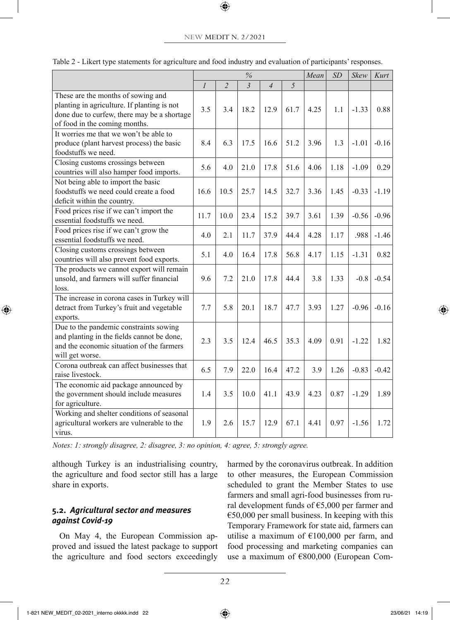#### NEW MEDIT N. 2/2021

⊕

|                                                                                                                                                                   | $\%$          |                |                |                |      | Mean | SD   | Skew    | Kurt    |
|-------------------------------------------------------------------------------------------------------------------------------------------------------------------|---------------|----------------|----------------|----------------|------|------|------|---------|---------|
|                                                                                                                                                                   | $\mathcal{I}$ | $\overline{c}$ | $\mathfrak{Z}$ | $\overline{4}$ | 5    |      |      |         |         |
| These are the months of sowing and<br>planting in agriculture. If planting is not<br>done due to curfew, there may be a shortage<br>of food in the coming months. | 3.5           | 3.4            | 18.2           | 12.9           | 61.7 | 4.25 | 1.1  | $-1.33$ | 0.88    |
| It worries me that we won't be able to<br>produce (plant harvest process) the basic<br>foodstuffs we need.                                                        | 8.4           | 6.3            | 17.5           | 16.6           | 51.2 | 3.96 | 1.3  | $-1.01$ | $-0.16$ |
| Closing customs crossings between<br>countries will also hamper food imports.                                                                                     |               | 4.0            | 21.0           | 17.8           | 51.6 | 4.06 | 1.18 | $-1.09$ | 0.29    |
| Not being able to import the basic<br>foodstuffs we need could create a food<br>deficit within the country.                                                       | 16.6          | 10.5           | 25.7           | 14.5           | 32.7 | 3.36 | 1.45 | $-0.33$ | $-1.19$ |
| Food prices rise if we can't import the<br>essential foodstuffs we need.                                                                                          | 11.7          | 10.0           | 23.4           | 15.2           | 39.7 | 3.61 | 1.39 | $-0.56$ | $-0.96$ |
| Food prices rise if we can't grow the<br>essential foodstuffs we need.                                                                                            | 4.0           | 2.1            | 11.7           | 37.9           | 44.4 | 4.28 | 1.17 | .988    | $-1.46$ |
| Closing customs crossings between<br>countries will also prevent food exports.                                                                                    | 5.1           | 4.0            | 16.4           | 17.8           | 56.8 | 4.17 | 1.15 | $-1.31$ | 0.82    |
| The products we cannot export will remain<br>unsold, and farmers will suffer financial<br>loss.                                                                   | 9.6           | 7.2            | 21.0           | 17.8           | 44.4 | 3.8  | 1.33 | $-0.8$  | $-0.54$ |
| The increase in corona cases in Turkey will<br>detract from Turkey's fruit and vegetable<br>exports.                                                              | 7.7           | 5.8            | 20.1           | 18.7           | 47.7 | 3.93 | 1.27 | $-0.96$ | $-0.16$ |
| Due to the pandemic constraints sowing<br>and planting in the fields cannot be done,<br>and the economic situation of the farmers<br>will get worse.              | 2.3           | 3.5            | 12.4           | 46.5           | 35.3 | 4.09 | 0.91 | $-1.22$ | 1.82    |
| Corona outbreak can affect businesses that<br>raise livestock.                                                                                                    | 6.5           | 7.9            | 22.0           | 16.4           | 47.2 | 3.9  | 1.26 | $-0.83$ | $-0.42$ |
| The economic aid package announced by<br>the government should include measures<br>for agriculture.                                                               | 1.4           | 3.5            | 10.0           | 41.1           | 43.9 | 4.23 | 0.87 | $-1.29$ | 1.89    |
| Working and shelter conditions of seasonal<br>agricultural workers are vulnerable to the<br>virus.                                                                | 1.9           | 2.6            | 15.7           | 12.9           | 67.1 | 4.41 | 0.97 | $-1.56$ | 1.72    |

Table 2 - Likert type statements for agriculture and food industry and evaluation of participants' responses.

*Notes: 1: strongly disagree, 2: disagree, 3: no opinion, 4: agree, 5: strongly agree.*

although Turkey is an industrialising country, the agriculture and food sector still has a large share in exports.

# **5.2.** *Agricultural sector and measures against Covid-19*

On May 4, the European Commission approved and issued the latest package to support the agriculture and food sectors exceedingly harmed by the coronavirus outbreak. In addition to other measures, the European Commission scheduled to grant the Member States to use farmers and small agri-food businesses from rural development funds of  $\epsilon$ 5,000 per farmer and  $€50,000$  per small business. In keeping with this Temporary Framework for state aid, farmers can utilise a maximum of  $E100,000$  per farm, and food processing and marketing companies can use a maximum of €800,000 (European Com-

1-821 NEW\_MEDIT\_02-2021\_interno okkkk.indd 22 23/06/21 14:19

◈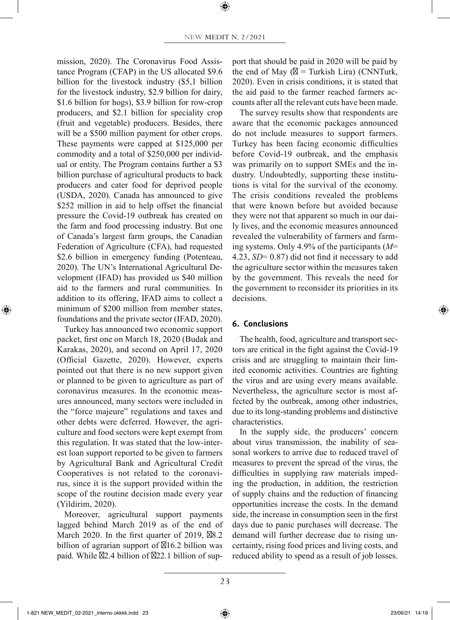mission, 2020). The Coronavirus Food Assistance Program (CFAP) in the US allocated \$9.6 billion for the livestock industry (\$5,1 billion for the livestock industry, \$2.9 billion for dairy, \$1.6 billion for hogs), \$3.9 billion for row-crop producers, and \$2.1 billion for speciality crop (fruit and vegetable) producers. Besides, there will be a \$500 million payment for other crops. These payments were capped at \$125,000 per commodity and a total of \$250,000 per individual or entity. The Program contains further a \$3 billion purchase of agricultural products to back producers and cater food for deprived people (USDA, 2020). Canada has announced to give \$252 million in aid to help offset the financial pressure the Covid-19 outbreak has created on the farm and food processing industry. But one of Canada's largest farm groups, the Canadian Federation of Agriculture (CFA), had requested \$2.6 billion in emergency funding (Potenteau, 2020). The UN's International Agricultural Development (IFAD) has provided us \$40 million aid to the farmers and rural communities. In addition to its offering, IFAD aims to collect a minimum of \$200 million from member states, foundations and the private sector (IFAD, 2020).

Turkey has announced two economic support packet, first one on March 18, 2020 (Budak and Karakas, 2020), and second on April 17, 2020 (Official Gazette, 2020). However, experts pointed out that there is no new support given or planned to be given to agriculture as part of coronavirus measures. In the economic measures announced, many sectors were included in the "force majeure" regulations and taxes and other debts were deferred. However, the agriculture and food sectors were kept exempt from this regulation. It was stated that the low-interest loan support reported to be given to farmers by Agricultural Bank and Agricultural Credit Cooperatives is not related to the coronavirus, since it is the support provided within the scope of the routine decision made every year (Yildirim, 2020).

Moreover, agricultural support payments lagged behind March 2019 as of the end of March 2020. In the first quarter of 2019, 8.2 billion of agrarian support of 16.2 billion was paid. While 2.4 billion of 22.1 billion of support that should be paid in 2020 will be paid by the end of May  $($  = Turkish Lira) (CNNTurk, 2020). Even in crisis conditions, it is stated that the aid paid to the farmer reached farmers accounts after all the relevant cuts have been made.

The survey results show that respondents are aware that the economic packages announced do not include measures to support farmers. Turkey has been facing economic difficulties before Covid-19 outbreak, and the emphasis was primarily on to support SMEs and the industry. Undoubtedly, supporting these institutions is vital for the survival of the economy. The crisis conditions revealed the problems that were known before but avoided because they were not that apparent so much in our daily lives, and the economic measures announced revealed the vulnerability of farmers and farming systems. Only 4.9% of the participants (*M*= 4.23, *SD*= 0.87) did not find it necessary to add the agriculture sector within the measures taken by the government. This reveals the need for the government to reconsider its priorities in its decisions.

#### **6. Conclusions**

The health, food, agriculture and transport sectors are critical in the fight against the Covid-19 crisis and are struggling to maintain their limited economic activities. Countries are fighting the virus and are using every means available. Nevertheless, the agriculture sector is most affected by the outbreak, among other industries, due to its long-standing problems and distinctive characteristics.

In the supply side, the producers' concern about virus transmission, the inability of seasonal workers to arrive due to reduced travel of measures to prevent the spread of the virus, the difficulties in supplying raw materials impeding the production, in addition, the restriction of supply chains and the reduction of financing opportunities increase the costs. In the demand side, the increase in consumption seen in the first days due to panic purchases will decrease. The demand will further decrease due to rising uncertainty, rising food prices and living costs, and reduced ability to spend as a result of job losses.

◈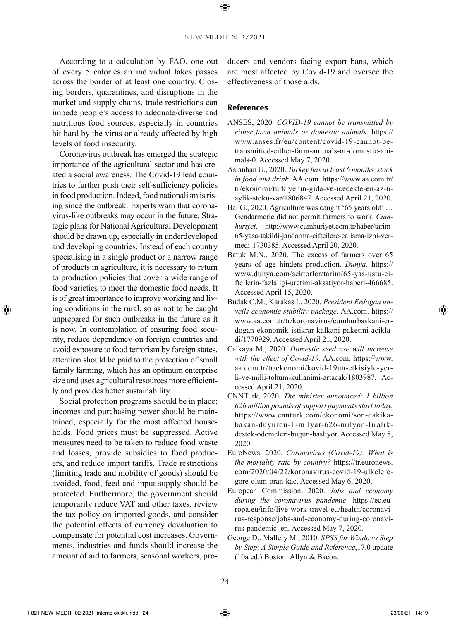According to a calculation by FAO, one out of every 5 calories an individual takes passes across the border of at least one country. Closing borders, quarantines, and disruptions in the market and supply chains, trade restrictions can impede people's access to adequate/diverse and nutritious food sources, especially in countries hit hard by the virus or already affected by high levels of food insecurity.

Coronavirus outbreak has emerged the strategic importance of the agricultural sector and has created a social awareness. The Covid-19 lead countries to further push their self-sufficiency policies in food production. Indeed, food nationalism is rising since the outbreak. Experts warn that coronavirus-like outbreaks may occur in the future. Strategic plans for National Agricultural Development should be drawn up, especially in underdeveloped and developing countries. Instead of each country specialising in a single product or a narrow range of products in agriculture, it is necessary to return to production policies that cover a wide range of food varieties to meet the domestic food needs. It is of great importance to improve working and living conditions in the rural, so as not to be caught unprepared for such outbreaks in the future as it is now. In contemplation of ensuring food security, reduce dependency on foreign countries and avoid exposure to food terrorism by foreign states, attention should be paid to the protection of small family farming, which has an optimum enterprise size and uses agricultural resources more efficiently and provides better sustainability.

◈

Social protection programs should be in place; incomes and purchasing power should be maintained, especially for the most affected households. Food prices must be suppressed. Active measures need to be taken to reduce food waste and losses, provide subsidies to food producers, and reduce import tariffs. Trade restrictions (limiting trade and mobility of goods) should be avoided, food, feed and input supply should be protected. Furthermore, the government should temporarily reduce VAT and other taxes, review the tax policy on imported goods, and consider the potential effects of currency devaluation to compensate for potential cost increases. Governments, industries and funds should increase the amount of aid to farmers, seasonal workers, producers and vendors facing export bans, which are most affected by Covid-19 and oversee the effectiveness of those aids.

## **References**

- ANSES, 2020. *COVID-19 cannot be transmitted by either farm animals or domestic animals*. https:// www.anses.fr/en/content/covid-19-cannot-betransmitted-either-farm-animals-or-domestic-animals-0. Accessed May 7, 2020.
- Aslanhan U., 2020. *Turkey has at least 6 months' stock in food and drink*. AA.com. https://www.aa.com.tr/ tr/ekonomi/turkiyenin-gida-ve-icecekte-en-az-6 aylik-stoku-var/1806847. Accessed April 21, 2020.
- Bal G., 2020. Agriculture was caught '65 years old' … Gendarmerie did not permit farmers to work. *Cumhuriyet*. http://www.cumhuriyet.com.tr/haber/tarim-65-yasa-takildi-jandarma-ciftcilere-calisma-izni-vermedi-1730385. Accessed April 20, 2020.
- Batuk M.N., 2020. The excess of farmers over 65 years of age hinders production. *Dunya*. https:// www.dunya.com/sektorler/tarim/65-yas-ustu-ciftcilerin-fazlaligi-uretimi-aksatiyor-haberi-466685. Accessed April 15, 2020.
- Budak C.M., Karakas I., 2020. *President Erdogan unveils economic stability package*. AA.com. https:// www.aa.com.tr/tr/koronavirus/cumhurbaskani-erdogan-ekonomik-istikrar-kalkani-paketini-acikladi/1770929. Accessed April 21, 2020.
- Calkaya M., 2020. *Domestic seed use will increase with the effect of Covid-19*. AA.com. https://www. aa.com.tr/tr/ekonomi/kovid-19un-etkisiyle-yerli-ve-milli-tohum-kullanimi-artacak/1803987. Accessed April 21, 2020.
- CNNTurk, 2020. *The minister announced: 1 billion 626 million pounds of support payments start today.* https://www.cnnturk.com/ekonomi/son-dakikabakan-duyurdu-1-milyar-626-milyon-liralikdestek-odemeleri-bugun-basliyor. Accessed May 8, 2020.
- EuroNews, 2020. *Coronavirus (Covid-19): What is the mortality rate by country?* https://tr.euronews. com/2020/04/22/koronavirus-covid-19-ulkeleregore-olum-oran-kac. Accessed May 6, 2020.
- European Commission, 2020. *Jobs and economy during the coronavirus pandemic*. https://ec.europa.eu/info/live-work-travel-eu/health/coronavirus-response/jobs-and-economy-during-coronavirus-pandemic\_en. Accessed May 7, 2020.
- George D., Mallery M., 2010. *SPSS for Windows Step by Step: A Simple Guide and Reference*,17.0 update (10a ed.) Boston: Allyn & Bacon.

1-821 NEW\_MEDIT\_02-2021\_interno okkkk.indd 24 23/06/21 14:19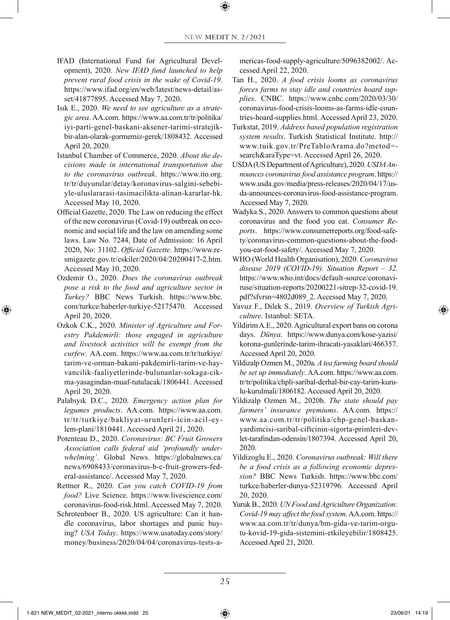- IFAD (International Fund for Agricultural Development), 2020. *New IFAD fund launched to help prevent rural food crisis in the wake of Covid-19*. https://www.ifad.org/en/web/latest/news-detail/asset/41877895. Accessed May 7, 2020.
- Isık E., 2020. *We need to see agriculture as a strategic area*. AA.com. https://www.aa.com.tr/tr/politika/ iyi-parti-genel-baskani-aksener-tarimi-stratejikbir-alan-olarak-gormemiz-gerek/1808432. Accessed April 20, 2020.
- Istanbul Chamber of Commerce, 2020. *About the decisions made in international transportation due to the coronavirus outbreak*. https://www.ito.org. tr/tr/duyurular/detay/koronavirus-salgini-sebebiyle-uluslararasi-tasimacilikta-alinan-kararlar-hk. Accessed May 10, 2020.
- Official Gazette, 2020. The Law on reducing the effect of the new coronavirus (Covid-19) outbreak on economic and social life and the law on amending some laws. Law No. 7244, Date of Admission: 16 April 2020, No: 31102. *Official Gazette*. https://www.resmigazete.gov.tr/eskiler/2020/04/20200417-2.htm. Accessed May 10, 2020.
- Ozdemir O., 2020. *Does the coronavirus outbreak pose a risk to the food and agriculture sector in Turkey?* BBC News Turkish. https://www.bbc. com/turkce/haberler-turkiye-52175470. Accessed April 20, 2020.

- Ozkok C.K., 2020. *Minister of Agriculture and Forestry Pakdemirli: those engaged in agriculture and livestock activities will be exempt from the curfew*. AA.com. https://www.aa.com.tr/tr/turkiye/ tarim-ve-orman-bakani-pakdemirli-tarim-ve-hayvancilik-faaliyetlerinde-bulunanlar-sokaga-cikma-yasagindan-muaf-tutulacak/1806441. Accessed April 20, 2020.
- Palabıyık D.C., 2020. *Emergency action plan for legumes products*. AA.com. https://www.aa.com. tr/tr/turkiye/bakliyat-urunleri-icin-acil-eylem-plani/1810441. Accessed April 21, 2020.
- Potenteau D., 2020. *Coronavirus: BC Fruit Growers Association calls federal aid 'profoundly underwhelming'*. Global News. https://globalnews.ca/ news/6908433/coronavirus-b-c-fruit-growers-federal-assistance/. Accessed May 7, 2020.
- Rettner R., 2020. *Can you catch COVID-19 from food?* Live Science. https://www.livescience.com/ coronavirus-food-risk.html. Accessed May 7, 2020.
- Schrotenboer B., 2020. US agriculture: Can it handle coronavirus, labor shortages and panic buying? *USA Today*. https://www.usatoday.com/story/ money/business/2020/04/04/coronavirus-tests-a-

mericas-food-supply-agriculture/5096382002/. Accessed April 22, 2020.

- Tan H., 2020. *A food crisis looms as coronavirus forces farms to stay idle and countries hoard supplies*. CNBC. https://www.cnbc.com/2020/03/30/ coronavirus-food-crisis-looms-as-farms-idle-countries-hoard-supplies.html. Accessed April 23, 2020.
- Turkstat, 2019. *Address based population registration system results*. Turkish Statistical Institute. http:// www.tuik.gov.tr/PreTabloArama.do?metod= search&araType=vt. Accessed April 26, 2020.
- USDA (US Department of Agriculture), 2020. *USDA Announces coronavirus food assistance program*. https:// www.usda.gov/media/press-releases/2020/04/17/usda-announces-coronavirus-food-assistance-program. Accessed May 7, 2020.
- Wadyka S., 2020. Answers to common questions about coronavirus and the food you eat. *Consumer Reports*. https://www.consumerreports.org/food-safety/coronavirus-common-questions-about-the-foodyou-eat-food-safety/. Accessed May 7, 2020.
- WHO (World Health Organisation), 2020. *Coronavirus disease 2019 (COVID-19). Situation Report – 32.* https://www.who.int/docs/default-source/coronaviruse/situation-reports/20200221-sitrep-32-covid-19. pdf?sfvrsn=4802d089\_2. Accessed May 7, 2020.
- Yavuz F., Dilek S., 2019. *Overview of Turkish Agriculture.* Istanbul: SETA.
- Yildirim A.E., 2020. Agricultural export bans on corona days. *Dünya*. https://www.dunya.com/kose-yazisi/ korona-gunlerinde-tarim-ihracati-yasaklari/466357. Accessed April 20, 2020.
- Yildizalp Ozmen M., 2020a. *A tea farming board should be set up immediately*. AA.com. https://www.aa.com. tr/tr/politika/chpli-saribal-derhal-bir-cay-tarim-kurulu-kurulmali/1806182. Accessed April 20, 2020.
- Yildizalp Ozmen M., 2020b. *The state should pay farmers' insurance premiums*. AA.com. https:// www.aa.com.tr/tr/politika/chp-genel-baskanyardimcisi-saribal-ciftcinin-sigorta-primleri-devlet-tarafindan-odensin/1807394. Accessed April 20, 2020.
- Yildizoglu E., 2020. *Coronavirus outbreak: Will there be a food crisis as a following economic depression?* BBC News Turkish. https://www.bbc.com/ turkce/haberler-dunya-52319796. Accessed April 20, 2020.
- Yuruk B., 2020. *UN Food and Agriculture Organization: Covid-19 may affect the food system*. AA.com. https:// www.aa.com.tr/tr/dunya/bm-gida-ve-tarim-orgutu-kovid-19-gida-sistemini-etkileyebilir/1808425. Accessed April 21, 2020.